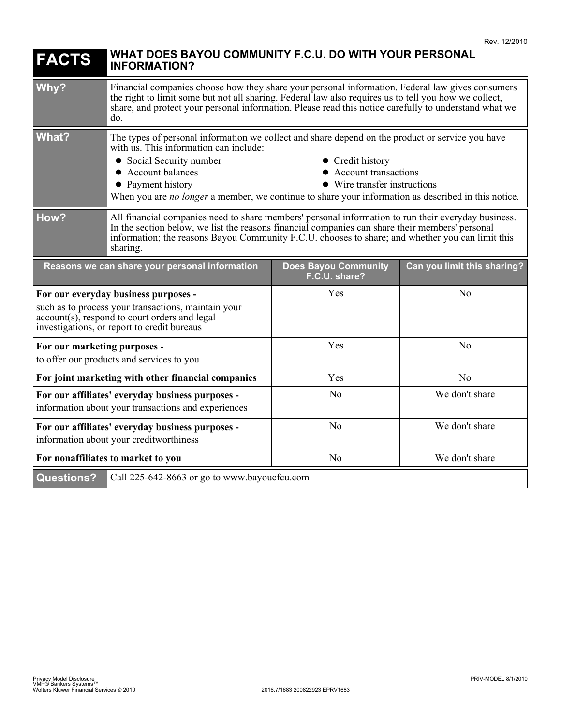| <b>FACTS</b>                                                                                                                                                                                | WHAT DOES BAYOU COMMUNITY F.C.U. DO WITH YOUR PERSONAL<br><b>INFORMATION?</b>                                                                                                                                                                                                                                                                                                                          |                                              |                             |
|---------------------------------------------------------------------------------------------------------------------------------------------------------------------------------------------|--------------------------------------------------------------------------------------------------------------------------------------------------------------------------------------------------------------------------------------------------------------------------------------------------------------------------------------------------------------------------------------------------------|----------------------------------------------|-----------------------------|
| Why?                                                                                                                                                                                        | Financial companies choose how they share your personal information. Federal law gives consumers<br>the right to limit some but not all sharing. Federal law also requires us to tell you how we collect,<br>share, and protect your personal information. Please read this notice carefully to understand what we<br>do.                                                                              |                                              |                             |
| What?                                                                                                                                                                                       | The types of personal information we collect and share depend on the product or service you have<br>with us. This information can include:<br>• Social Security number<br>• Credit history<br>• Account balances<br>• Account transactions<br>• Payment history<br>• Wire transfer instructions<br>When you are no longer a member, we continue to share your information as described in this notice. |                                              |                             |
| How?                                                                                                                                                                                        | All financial companies need to share members' personal information to run their everyday business.<br>In the section below, we list the reasons financial companies can share their members' personal<br>information; the reasons Bayou Community F.C.U. chooses to share; and whether you can limit this<br>sharing.                                                                                 |                                              |                             |
| Reasons we can share your personal information                                                                                                                                              |                                                                                                                                                                                                                                                                                                                                                                                                        | <b>Does Bayou Community</b><br>F.C.U. share? | Can you limit this sharing? |
| For our everyday business purposes -<br>such as to process your transactions, maintain your<br>account(s), respond to court orders and legal<br>investigations, or report to credit bureaus |                                                                                                                                                                                                                                                                                                                                                                                                        | Yes                                          | N <sub>o</sub>              |
| For our marketing purposes -<br>to offer our products and services to you                                                                                                                   |                                                                                                                                                                                                                                                                                                                                                                                                        | Yes                                          | N <sub>o</sub>              |
| For joint marketing with other financial companies                                                                                                                                          |                                                                                                                                                                                                                                                                                                                                                                                                        | Yes                                          | No                          |
| For our affiliates' everyday business purposes -<br>information about your transactions and experiences                                                                                     |                                                                                                                                                                                                                                                                                                                                                                                                        | N <sub>o</sub>                               | We don't share              |
| For our affiliates' everyday business purposes -<br>information about your creditworthiness                                                                                                 |                                                                                                                                                                                                                                                                                                                                                                                                        | No                                           | We don't share              |
| For nonaffiliates to market to you                                                                                                                                                          |                                                                                                                                                                                                                                                                                                                                                                                                        | N <sub>o</sub>                               | We don't share              |
| <b>Questions?</b><br>Call 225-642-8663 or go to www.bayoucfcu.com                                                                                                                           |                                                                                                                                                                                                                                                                                                                                                                                                        |                                              |                             |